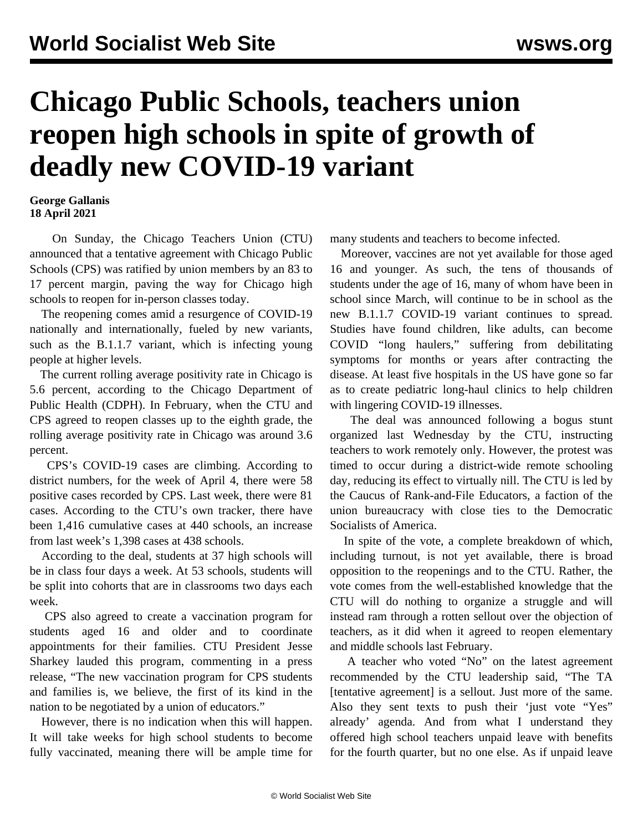## **Chicago Public Schools, teachers union reopen high schools in spite of growth of deadly new COVID-19 variant**

## **George Gallanis 18 April 2021**

 On Sunday, the Chicago Teachers Union (CTU) announced that a tentative agreement with Chicago Public Schools (CPS) was ratified by union members by an 83 to 17 percent margin, paving the way for Chicago high schools to reopen for in-person classes today.

 The reopening comes amid a resurgence of COVID-19 nationally and internationally, fueled by new variants, such as the B.1.1.7 variant, which is infecting young people at higher levels.

 The current rolling average positivity rate in Chicago is 5.6 percent, according to the Chicago Department of Public Health (CDPH). In February, when the CTU and CPS agreed to reopen classes up to the eighth grade, the rolling average positivity rate in Chicago was around 3.6 percent.

 CPS's COVID-19 cases are climbing. According to district numbers, for the week of April 4, there were 58 positive cases recorded by CPS. Last week, there were 81 cases. According to the CTU's own tracker, there have been 1,416 cumulative cases at 440 schools, an increase from last week's 1,398 cases at 438 schools.

 According to the deal, students at 37 high schools will be in class four days a week. At 53 schools, students will be split into cohorts that are in classrooms two days each week.

 CPS also agreed to create a vaccination program for students aged 16 and older and to coordinate appointments for their families. CTU President Jesse Sharkey lauded this program, commenting in a press release, "The new vaccination program for CPS students and families is, we believe, the first of its kind in the nation to be negotiated by a union of educators."

 However, there is no indication when this will happen. It will take weeks for high school students to become fully vaccinated, meaning there will be ample time for many students and teachers to become infected.

 Moreover, vaccines are not yet available for those aged 16 and younger. As such, the tens of thousands of students under the age of 16, many of whom have been in school since March, will continue to be in school as the new B.1.1.7 COVID-19 variant continues to spread. Studies have found children, like adults, can become COVID "long haulers," suffering from debilitating symptoms for months or years after contracting the disease. At least five hospitals in the US have gone so far as to create pediatric long-haul clinics to help children with lingering COVID-19 illnesses.

 The deal was announced following a bogus stunt organized last Wednesday by the CTU, instructing teachers to work remotely only. However, the protest was timed to occur during a district-wide remote schooling day, reducing its effect to virtually nill. The CTU is led by the Caucus of Rank-and-File Educators, a faction of the union bureaucracy with close ties to the Democratic Socialists of America.

 In spite of the vote, a complete breakdown of which, including turnout, is not yet available, there is broad opposition to the reopenings and to the CTU. Rather, the vote comes from the well-established knowledge that the CTU will do nothing to organize a struggle and will instead ram through a rotten sellout over the objection of teachers, as it did when it agreed to reopen elementary and middle schools last February.

 A teacher who voted "No" on the latest agreement recommended by the CTU leadership said, "The TA [tentative agreement] is a sellout. Just more of the same. Also they sent texts to push their 'just vote "Yes" already' agenda. And from what I understand they offered high school teachers unpaid leave with benefits for the fourth quarter, but no one else. As if unpaid leave